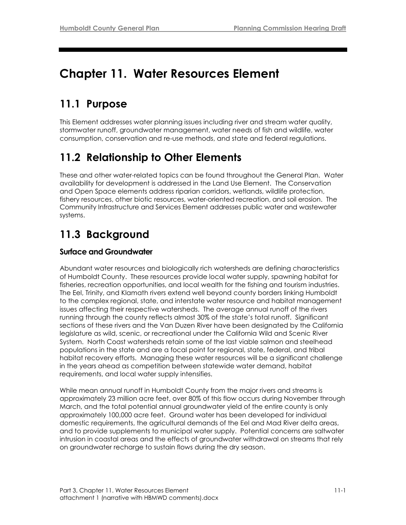# **Chapter 11. Water Resources Element**

# **11.1 Purpose**

This Element addresses water planning issues including river and stream water quality, stormwater runoff, groundwater management, water needs of fish and wildlife, water consumption, conservation and re-use methods, and state and federal regulations.

# **11.2 Relationship to Other Elements**

These and other water-related topics can be found throughout the General Plan. Water availability for development is addressed in the Land Use Element. The Conservation and Open Space elements address riparian corridors, wetlands, wildlife protection, fishery resources, other biotic resources, water-oriented recreation, and soil erosion. The Community Infrastructure and Services Element addresses public water and wastewater systems.

# **11.3 Background**

## **Surface and Groundwater**

Abundant water resources and biologically rich watersheds are defining characteristics of Humboldt County. These resources provide local water supply, spawning habitat for fisheries, recreation opportunities, and local wealth for the fishing and tourism industries. The Eel, Trinity, and Klamath rivers extend well beyond county borders linking Humboldt to the complex regional, state, and interstate water resource and habitat management issues affecting their respective watersheds. The average annual runoff of the rivers running through the county reflects almost 30% of the state's total runoff. Significant sections of these rivers and the Van Duzen River have been designated by the California legislature as wild, scenic, or recreational under the California Wild and Scenic River System. North Coast watersheds retain some of the last viable salmon and steelhead populations in the state and are a focal point for regional, state, federal, and tribal habitat recovery efforts. Managing these water resources will be a significant challenge in the years ahead as competition between statewide water demand, habitat requirements, and local water supply intensifies.

While mean annual runoff in Humboldt County from the major rivers and streams is approximately 23 million acre feet, over 80% of this flow occurs during November through March, and the total potential annual groundwater yield of the entire county is only approximately 100,000 acre feet. Ground water has been developed for individual domestic requirements, the agricultural demands of the Eel and Mad River delta areas, and to provide supplements to municipal water supply. Potential concerns are saltwater intrusion in coastal areas and the effects of groundwater withdrawal on streams that rely on groundwater recharge to sustain flows during the dry season.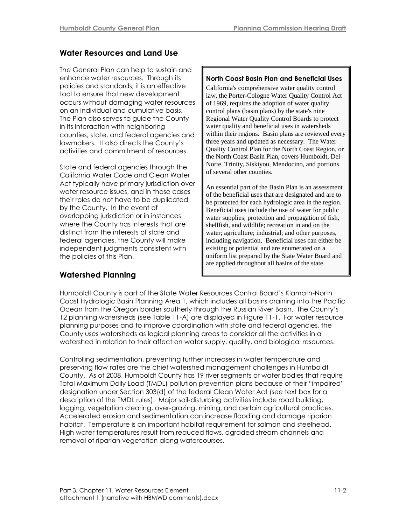# **Water Resources and Land Use**

The General Plan can help to sustain and enhance water resources. Through its policies and standards, it is an effective tool to ensure that new development occurs without damaging water resources on an individual and cumulative basis. The Plan also serves to guide the County in its interaction with neighboring counties, state, and federal agencies and lawmakers. It also directs the County's activities and commitment of resources.

State and federal agencies through the California Water Code and Clean Water Act typically have primary jurisdiction over water resource issues, and in those cases their roles do not have to be duplicated by the County. In the event of overlapping jurisdiction or in instances where the County has interests that are distinct from the interests of state and federal agencies, the County will make independent judgments consistent with the policies of this Plan.

#### **North Coast Basin Plan and Beneficial Uses**

California's comprehensive water quality control law, the Porter-Cologne Water Quality Control Act of 1969, requires the adoption of water quality control plans (basin plans) by the state's nine Regional Water Quality Control Boards to protect water quality and beneficial uses in watersheds within their regions. Basin plans are reviewed every three years and updated as necessary. The Water Quality Control Plan for the North Coast Region, or the North Coast Basin Plan, covers Humboldt, Del Norte, Trinity, Siskiyou, Mendocino, and portions of several other counties.

An essential part of the Basin Plan is an assessment of the beneficial uses that are designated and are to be protected for each hydrologic area in the region. Beneficial uses include the use of water for public water supplies; protection and propagation of fish, shellfish, and wildlife; recreation in and on the water; agriculture; industrial; and other purposes, including navigation. Beneficial uses can either be existing or potential and are enumerated on a uniform list prepared by the State Water Board and are applied throughout all basins of the state.

## **Watershed Planning**

Humboldt County is part of the State Water Resources Control Board's Klamath-North Coast Hydrologic Basin Planning Area 1, which includes all basins draining into the Pacific Ocean from the Oregon border southerly through the Russian River Basin. The County's 12 planning watersheds (see Table 11-A) are displayed in Figure 11-1. For water resource planning purposes and to improve coordination with state and federal agencies, the County uses watersheds as logical planning areas to consider all the activities in a watershed in relation to their affect on water supply, quality, and biological resources.

Controlling sedimentation, preventing further increases in water temperature and preserving flow rates are the chief watershed management challenges in Humboldt County. As of 2008, Humboldt County has 19 river segments or water bodies that require Total Maximum Daily Load (TMDL) pollution prevention plans because of their "impaired" designation under Section 303(d) of the federal Clean Water Act (see text box for a description of the TMDL rules). Major soil-disturbing activities include road building, logging, vegetation clearing, over-grazing, mining, and certain agricultural practices. Accelerated erosion and sedimentation can increase flooding and damage riparian habitat. Temperature is an important habitat requirement for salmon and steelhead. High water temperatures result from reduced flows, agraded stream channels and removal of riparian vegetation along watercourses.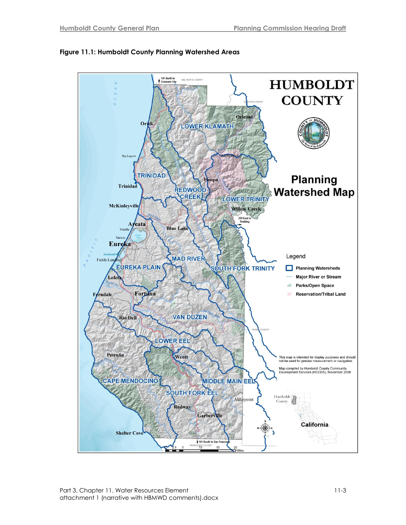

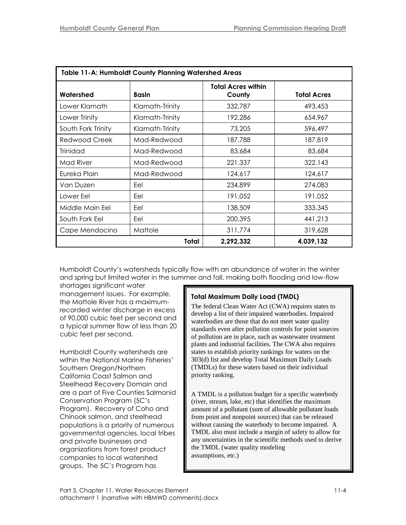| <b>Table 11-A: Humboldt County Planning Watershed Areas</b> |                 |                                     |                    |
|-------------------------------------------------------------|-----------------|-------------------------------------|--------------------|
| Watershed                                                   | Basin           | <b>Total Acres within</b><br>County | <b>Total Acres</b> |
| Lower Klamath                                               | Klamath-Trinity | 332,787                             | 493,453            |
| Lower Trinity                                               | Klamath-Trinity | 192,286                             | 654,967            |
| South Fork Trinity                                          | Klamath-Trinity | 73,205                              | 596,497            |
| Redwood Creek                                               | Mad-Redwood     | 187,788                             | 187,819            |
| <b>Trinidad</b>                                             | Mad-Redwood     | 83,684                              | 83,684             |
| Mad River                                                   | Mad-Redwood     | 221,337                             | 322,143            |
| Eureka Plain                                                | Mad-Redwood     | 124,617                             | 124,617            |
| Van Duzen                                                   | Eel             | 234,899                             | 274,083            |
| Lower Eel                                                   | Eel             | 191,052                             | 191,052            |
| Middle Main Eel                                             | Eel             | 138,509                             | 333,345            |
| South Fork Eel                                              | Eel             | 200,395                             | 441,213            |
| Cape Mendocino                                              | Mattole         | 311,774                             | 319,628            |
| Total                                                       |                 | 2,292,332                           | 4,039,132          |

Humboldt County's watersheds typically flow with an abundance of water in the winter and spring but limited water in the summer and fall, making both flooding and low-flow

shortages significant water management issues. For example, the Mattole River has a maximumrecorded winter discharge in excess of 90,000 cubic feet per second and a typical summer flow of less than 20 cubic feet per second.

Humboldt County watersheds are within the National Marine Fisheries' Southern Oregon/Northern California Coast Salmon and Steelhead Recovery Domain and are a part of Five Counties Salmonid Conservation Program (5C's Program). Recovery of Coho and Chinook salmon, and steelhead populations is a priority of numerous governmental agencies, local tribes and private businesses and organizations from forest product companies to local watershed groups. The 5C's Program has

## **Total Maximum Daily Load (TMDL)**

The federal Clean Water Act (CWA) requires states to develop a list of their impaired waterbodies. Impaired waterbodies are those that do not meet water quality standards even after pollution controls for point sources of pollution are in place, such as wastewater treatment plants and industrial facilities. The CWA also requires states to establish priority rankings for waters on the 303(d) list and develop Total Maximum Daily Loads (TMDLs) for these waters based on their individual priority ranking.

A TMDL is a pollution budget for a specific waterbody (river, stream, lake, etc) that identifies the maximum amount of a pollutant (sum of allowable pollutant loads from point and nonpoint sources) that can be released without causing the waterbody to become impaired. A TMDL also must include a margin of safety to allow for any uncertainties in the scientific methods used to derive the TMDL (water quality modeling assumptions, etc.)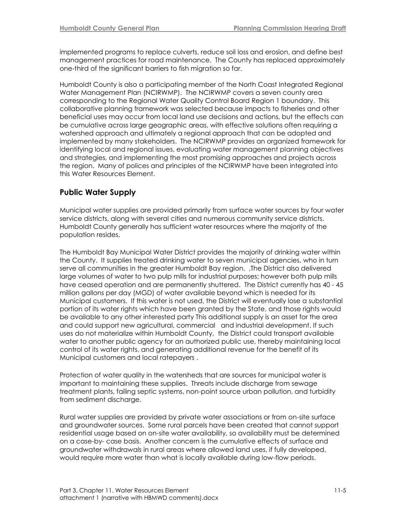implemented programs to replace culverts, reduce soil loss and erosion, and define best management practices for road maintenance. The County has replaced approximately one-third of the significant barriers to fish migration so far.

Humboldt County is also a participating member of the North Coast Integrated Regional Water Management Plan (NCIRWMP). The NCIRWMP covers a seven county area corresponding to the Regional Water Quality Control Board Region 1 boundary. This collaborative planning framework was selected because impacts to fisheries and other beneficial uses may occur from local land use decisions and actions, but the effects can be cumulative across large geographic areas, with effective solutions often requiring a watershed approach and ultimately a regional approach that can be adopted and implemented by many stakeholders. The NCIRWMP provides an organized framework for identifying local and regional issues, evaluating water management planning objectives and strategies, and implementing the most promising approaches and projects across the region. Many of polices and principles of the NCIRWMP have been integrated into this Water Resources Element.

### **Public Water Supply**

Municipal water supplies are provided primarily from surface water sources by four water service districts, along with several cities and numerous community service districts. Humboldt County generally has sufficient water resources where the majority of the population resides.

The Humboldt Bay Municipal Water District provides the majority of drinking water within the County. It supplies treated drinking water to seven municipal agencies, who in turn serve all communities in the greater Humboldt Bay region. ,The District also delivered large volumes of water to two pulp mills for industrial purposes; however both pulp mills have ceased operation and are permanently shuttered. The District currently has 40 - 45 million gallons per day (MGD) of water available beyond which is needed for its Municipal customers. If this water is not used, the District will eventually lose a substantial portion of its water rights which have been granted by the State, and those rights would be available to any other interested party This additional supply is an asset for the area and could support new agricultural, commercial and industrial development. If such uses do not materialize within Humboldt County, the District could transport available water to another public agency for an authorized public use, thereby maintaining local control of its water rights, and generating additional revenue for the benefit of its Municipal customers and local ratepayers .

Protection of water quality in the watersheds that are sources for municipal water is important to maintaining these supplies. Threats include discharge from sewage treatment plants, failing septic systems, non-point source urban pollution, and turbidity from sediment discharge.

Rural water supplies are provided by private water associations or from on-site surface and groundwater sources. Some rural parcels have been created that cannot support residential usage based on on-site water availability, so availability must be determined on a case-by- case basis. Another concern is the cumulative effects of surface and groundwater withdrawals in rural areas where allowed land uses, if fully developed, would require more water than what is locally available during low-flow periods.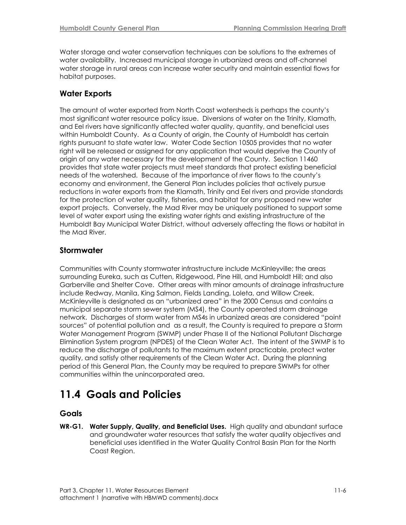Water storage and water conservation techniques can be solutions to the extremes of water availability. Increased municipal storage in urbanized areas and off-channel water storage in rural areas can increase water security and maintain essential flows for habitat purposes.

### **Water Exports**

The amount of water exported from North Coast watersheds is perhaps the county's most significant water resource policy issue. Diversions of water on the Trinity, Klamath, and Eel rivers have significantly affected water quality, quantity, and beneficial uses within Humboldt County. As a County of origin, the County of Humboldt has certain rights pursuant to state water law. Water Code Section 10505 provides that no water right will be released or assigned for any application that would deprive the County of origin of any water necessary for the development of the County. Section 11460 provides that state water projects must meet standards that protect existing beneficial needs of the watershed. Because of the importance of river flows to the county's economy and environment, the General Plan includes policies that actively pursue reductions in water exports from the Klamath, Trinity and Eel rivers and provide standards for the protection of water quality, fisheries, and habitat for any proposed new water export projects. Conversely, the Mad River may be uniquely positioned to support some level of water export using the existing water rights and existing infrastructure of the Humboldt Bay Municipal Water District, without adversely affecting the flows or habitat in the Mad River.

### **Stormwater**

Communities with County stormwater infrastructure include McKinleyville; the areas surrounding Eureka, such as Cutten, Ridgewood, Pine Hill, and Humboldt Hill; and also Garberville and Shelter Cove. Other areas with minor amounts of drainage infrastructure include Redway, Manila, King Salmon, Fields Landing, Loleta, and Willow Creek. McKinleyville is designated as an "urbanized area" in the 2000 Census and contains a municipal separate storm sewer system (MS4), the County operated storm drainage network. Discharges of storm water from MS4s in urbanized areas are considered "point sources‖ of potential pollution and as a result, the County is required to prepare a Storm Water Management Program (SWMP) under Phase II of the National Pollutant Discharge Elimination System program (NPDES) of the Clean Water Act. The intent of the SWMP is to reduce the discharge of pollutants to the maximum extent practicable, protect water quality, and satisfy other requirements of the Clean Water Act. During the planning period of this General Plan, the County may be required to prepare SWMPs for other communities within the unincorporated area.

# **11.4 Goals and Policies**

### **Goals**

**WR-G1. Water Supply, Quality, and Beneficial Uses.** High quality and abundant surface and groundwater water resources that satisfy the water quality objectives and beneficial uses identified in the Water Quality Control Basin Plan for the North Coast Region.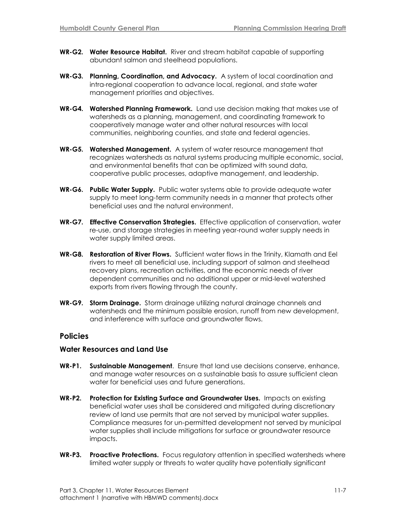- **WR-G2. Water Resource Habitat.** River and stream habitat capable of supporting abundant salmon and steelhead populations.
- **WR-G3. Planning, Coordination, and Advocacy.** A system of local coordination and intra-regional cooperation to advance local, regional, and state water management priorities and objectives.
- **WR-G4. Watershed Planning Framework.** Land use decision making that makes use of watersheds as a planning, management, and coordinating framework to cooperatively manage water and other natural resources with local communities, neighboring counties, and state and federal agencies.
- **WR-G5. Watershed Management.** A system of water resource management that recognizes watersheds as natural systems producing multiple economic, social, and environmental benefits that can be optimized with sound data, cooperative public processes, adaptive management, and leadership.
- **WR-G6. Public Water Supply.** Public water systems able to provide adequate water supply to meet long-term community needs in a manner that protects other beneficial uses and the natural environment.
- **WR-G7. Effective Conservation Strategies.** Effective application of conservation, water re-use, and storage strategies in meeting year-round water supply needs in water supply limited areas.
- **WR-G8. Restoration of River Flows.** Sufficient water flows in the Trinity, Klamath and Eel rivers to meet all beneficial use, including support of salmon and steelhead recovery plans, recreation activities, and the economic needs of river dependent communities and no additional upper or mid-level watershed exports from rivers flowing through the county.
- **WR-G9. Storm Drainage.** Storm drainage utilizing natural drainage channels and watersheds and the minimum possible erosion, runoff from new development, and interference with surface and groundwater flows.

#### **Policies**

#### **Water Resources and Land Use**

- **WR-P1. Sustainable Management**. Ensure that land use decisions conserve, enhance, and manage water resources on a sustainable basis to assure sufficient clean water for beneficial uses and future generations.
- **WR-P2. Protection for Existing Surface and Groundwater Uses.** Impacts on existing beneficial water uses shall be considered and mitigated during discretionary review of land use permits that are not served by municipal water supplies. Compliance measures for un-permitted development not served by municipal water supplies shall include mitigations for surface or groundwater resource impacts.
- **WR-P3. Proactive Protections.** Focus regulatory attention in specified watersheds where limited water supply or threats to water quality have potentially significant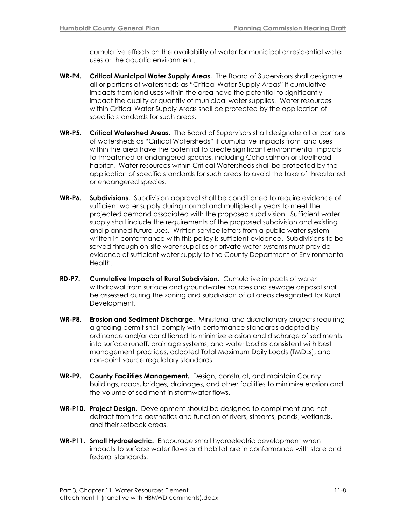cumulative effects on the availability of water for municipal or residential water uses or the aquatic environment.

- **WR-P4. Critical Municipal Water Supply Areas.** The Board of Supervisors shall designate all or portions of watersheds as "Critical Water Supply Areas" if cumulative impacts from land uses within the area have the potential to significantly impact the quality or quantity of municipal water supplies. Water resources within Critical Water Supply Areas shall be protected by the application of specific standards for such areas.
- **WR-P5. Critical Watershed Areas.** The Board of Supervisors shall designate all or portions of watersheds as "Critical Watersheds" if cumulative impacts from land uses within the area have the potential to create significant environmental impacts to threatened or endangered species, including Coho salmon or steelhead habitat. Water resources within Critical Watersheds shall be protected by the application of specific standards for such areas to avoid the take of threatened or endangered species.
- **WR-P6. Subdivisions.** Subdivision approval shall be conditioned to require evidence of sufficient water supply during normal and multiple-dry years to meet the projected demand associated with the proposed subdivision. Sufficient water supply shall include the requirements of the proposed subdivision and existing and planned future uses. Written service letters from a public water system written in conformance with this policy is sufficient evidence. Subdivisions to be served through on-site water supplies or private water systems must provide evidence of sufficient water supply to the County Department of Environmental Health.
- **RD-P7. Cumulative Impacts of Rural Subdivision.** Cumulative impacts of water withdrawal from surface and groundwater sources and sewage disposal shall be assessed during the zoning and subdivision of all areas designated for Rural Development.
- **WR-P8. Erosion and Sediment Discharge.** Ministerial and discretionary projects requiring a grading permit shall comply with performance standards adopted by ordinance and/or conditioned to minimize erosion and discharge of sediments into surface runoff, drainage systems, and water bodies consistent with best management practices, adopted Total Maximum Daily Loads (TMDLs), and non-point source regulatory standards.
- **WR-P9. County Facilities Management.** Design, construct, and maintain County buildings, roads, bridges, drainages, and other facilities to minimize erosion and the volume of sediment in stormwater flows.
- **WR-P10. Project Design.** Development should be designed to compliment and not detract from the aesthetics and function of rivers, streams, ponds, wetlands, and their setback areas.
- **WR-P11. Small Hydroelectric.** Encourage small hydroelectric development when impacts to surface water flows and habitat are in conformance with state and federal standards.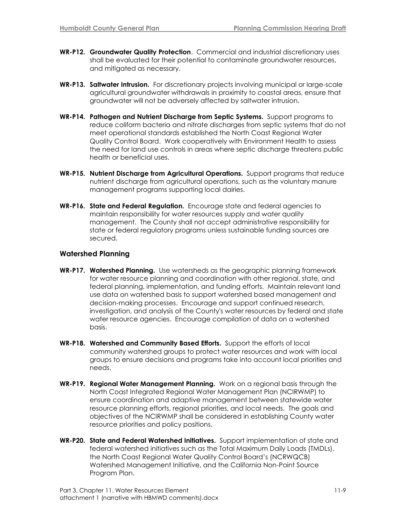- **WR-P12. Groundwater Quality Protection**. Commercial and industrial discretionary uses shall be evaluated for their potential to contaminate groundwater resources, and mitigated as necessary.
- **WR-P13. Saltwater Intrusion.** For discretionary projects involving municipal or large-scale agricultural groundwater withdrawals in proximity to coastal areas, ensure that groundwater will not be adversely affected by saltwater intrusion.
- **WR-P14. Pathogen and Nutrient Discharge from Septic Systems.** Support programs to reduce coliform bacteria and nitrate discharges from septic systems that do not meet operational standards established the North Coast Regional Water Quality Control Board. Work cooperatively with Environment Health to assess the need for land use controls in areas where septic discharge threatens public health or beneficial uses.
- **WR-P15. Nutrient Discharge from Agricultural Operations.** Support programs that reduce nutrient discharge from agricultural operations, such as the voluntary manure management programs supporting local dairies.
- **WR-P16. State and Federal Regulation.** Encourage state and federal agencies to maintain responsibility for water resources supply and water quality management. The County shall not accept administrative responsibility for state or federal regulatory programs unless sustainable funding sources are secured.

#### **Watershed Planning**

- **WR-P17. Watershed Planning.** Use watersheds as the geographic planning framework for water resource planning and coordination with other regional, state, and federal planning, implementation, and funding efforts.Maintain relevant land use data on watershed basis to support watershed based management and decision-making processes. Encourage and support continued research, investigation, and analysis of the County's water resources by federal and state water resource agencies. Encourage compilation of data on a watershed basis.
- **WR-P18. Watershed and Community Based Efforts.** Support the efforts of local community watershed groups to protect water resources and work with local groups to ensure decisions and programs take into account local priorities and needs.
- **WR-P19. Regional Water Management Planning.** Work on a regional basis through the North Coast Integrated Regional Water Management Plan (NCIRWMP) to ensure coordination and adaptive management between statewide water resource planning efforts, regional priorities, and local needs.The goals and objectives of the NCIRWMP shall be considered in establishing County water resource priorities and policy positions.
- **WR-P20. State and Federal Watershed Initiatives.** Support implementation of state and federal watershed initiatives such as the Total Maximum Daily Loads (TMDLs), the North Coast Regional Water Quality Control Board's (NCRWQCB) Watershed Management Initiative, and the California Non-Point Source Program Plan.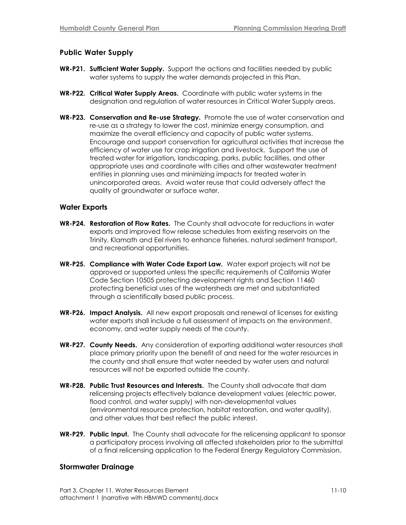#### **Public Water Supply**

- **WR-P21. Sufficient Water Supply.** Support the actions and facilities needed by public water systems to supply the water demands projected in this Plan.
- **WR-P22. Critical Water Supply Areas.** Coordinate with public water systems in the designation and regulation of water resources in Critical Water Supply areas.
- **WR-P23. Conservation and Re-use Strategy.** Promote the use of water conservation and re-use as a strategy to lower the cost, minimize energy consumption, and maximize the overall efficiency and capacity of public water systems. Encourage and support conservation for agricultural activities that increase the efficiency of water use for crop irrigation and livestock.Support the use of treated water for irrigation*,* landscaping, parks, public facilities, and other appropriate uses and coordinate with cities and other wastewater treatment entities in planning uses and minimizing impacts for treated water in unincorporated areas. Avoid water reuse that could adversely affect the quality of groundwater or surface water.

#### **Water Exports**

- **WR-P24. Restoration of Flow Rates.** The County shall advocate for reductions in water exports and improved flow release schedules from existing reservoirs on the Trinity, Klamath and Eel rivers to enhance fisheries, natural sediment transport, and recreational opportunities.
- **WR-P25. Compliance with Water Code Export Law.** Water export projects will not be approved or supported unless the specific requirements of California Water Code Section 10505 protecting development rights and Section 11460 protecting beneficial uses of the watersheds are met and substantiated through a scientifically based public process.
- **WR-P26. Impact Analysis.** All new export proposals and renewal of licenses for existing water exports shall include a full assessment of impacts on the environment, economy, and water supply needs of the county.
- **WR-P27. County Needs.** Any consideration of exporting additional water resources shall place primary priority upon the benefit of and need for the water resources in the county and shall ensure that water needed by water users and natural resources will not be exported outside the county.
- **WR-P28. Public Trust Resources and Interests.** The County shall advocate that dam relicensing projects effectively balance development values (electric power, flood control, and water supply) with non-developmental values (environmental resource protection, habitat restoration, and water quality), and other values that best reflect the public interest.
- **WR-P29. Public Input.** The County shall advocate for the relicensing applicant to sponsor a participatory process involving all affected stakeholders prior to the submittal of a final relicensing application to the Federal Energy Regulatory Commission.

#### **Stormwater Drainage**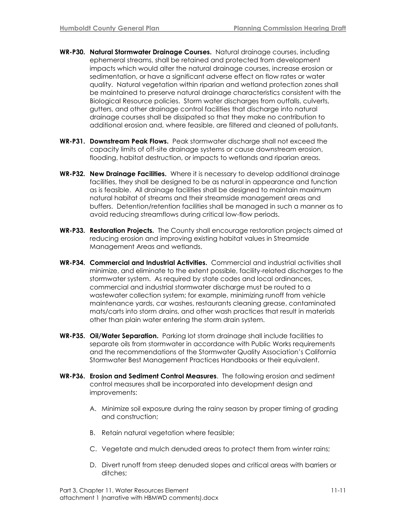- **WR-P30. Natural Stormwater Drainage Courses.** Natural drainage courses, including ephemeral streams, shall be retained and protected from development impacts which would alter the natural drainage courses, increase erosion or sedimentation, or have a significant adverse effect on flow rates or water quality. Natural vegetation within riparian and wetland protection zones shall be maintained to preserve natural drainage characteristics consistent with the Biological Resource policies. Storm water discharges from outfalls, culverts, gutters, and other drainage control facilities that discharge into natural drainage courses shall be dissipated so that they make no contribution to additional erosion and, where feasible, are filtered and cleaned of pollutants.
- **WR-P31. Downstream Peak Flows.** Peak stormwater discharge shall not exceed the capacity limits of off-site drainage systems or cause downstream erosion, flooding, habitat destruction, or impacts to wetlands and riparian areas.
- **WR-P32. New Drainage Facilities.** Where it is necessary to develop additional drainage facilities, they shall be designed to be as natural in appearance and function as is feasible. All drainage facilities shall be designed to maintain maximum natural habitat of streams and their streamside management areas and buffers. Detention/retention facilities shall be managed in such a manner as to avoid reducing streamflows during critical low-flow periods.
- **WR-P33. Restoration Projects.** The County shall encourage restoration projects aimed at reducing erosion and improving existing habitat values in Streamside Management Areas and wetlands.
- **WR-P34. Commercial and Industrial Activities.** Commercial and industrial activities shall minimize, and eliminate to the extent possible, facility-related discharges to the stormwater system. As required by state codes and local ordinances, commercial and industrial stormwater discharge must be routed to a wastewater collection system; for example, minimizing runoff from vehicle maintenance yards, car washes, restaurants cleaning grease, contaminated mats/carts into storm drains, and other wash practices that result in materials other than plain water entering the storm drain system.
- **WR-P35. Oil/Water Separation.** Parking lot storm drainage shall include facilities to separate oils from stormwater in accordance with Public Works requirements and the recommendations of the Stormwater Quality Association's California Stormwater Best Management Practices Handbooks or their equivalent.
- **WR-P36. Erosion and Sediment Control Measures**. The following erosion and sediment control measures shall be incorporated into development design and improvements:
	- A. Minimize soil exposure during the rainy season by proper timing of grading and construction;
	- B. Retain natural vegetation where feasible;
	- C. Vegetate and mulch denuded areas to protect them from winter rains;
	- D. Divert runoff from steep denuded slopes and critical areas with barriers or ditches;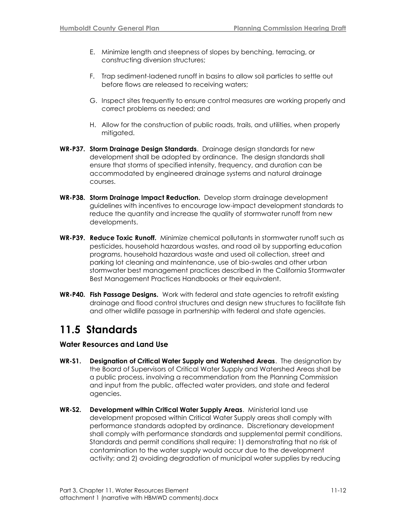- E. Minimize length and steepness of slopes by benching, terracing, or constructing diversion structures;
- F. Trap sediment-ladened runoff in basins to allow soil particles to settle out before flows are released to receiving waters;
- G. Inspect sites frequently to ensure control measures are working properly and correct problems as needed; and
- H. Allow for the construction of public roads, trails, and utilities, when properly mitiaated.
- **WR-P37. Storm Drainage Design Standards**. Drainage design standards for new development shall be adopted by ordinance. The design standards shall ensure that storms of specified intensity, frequency, and duration can be accommodated by engineered drainage systems and natural drainage courses.
- **WR-P38. Storm Drainage Impact Reduction.** Develop storm drainage development guidelines with incentives to encourage low-impact development standards to reduce the quantity and increase the quality of stormwater runoff from new developments.
- **WR-P39. Reduce Toxic Runoff.** Minimize chemical pollutants in stormwater runoff such as pesticides, household hazardous wastes, and road oil by supporting education programs, household hazardous waste and used oil collection, street and parking lot cleaning and maintenance, use of bio-swales and other urban stormwater best management practices described in the California Stormwater Best Management Practices Handbooks or their equivalent.
- **WR-P40. Fish Passage Designs.** Work with federal and state agencies to retrofit existing drainage and flood control structures and design new structures to facilitate fish and other wildlife passage in partnership with federal and state agencies.

# **11.5 Standards**

#### **Water Resources and Land Use**

- **WR-S1. Designation of Critical Water Supply and Watershed Areas**. The designation by the Board of Supervisors of Critical Water Supply and Watershed Areas shall be a public process, involving a recommendation from the Planning Commission and input from the public, affected water providers, and state and federal agencies.
- **WR-S2. Development within Critical Water Supply Areas**. Ministerial land use development proposed within Critical Water Supply areas shall comply with performance standards adopted by ordinance. Discretionary development shall comply with performance standards and supplemental permit conditions. Standards and permit conditions shall require: 1) demonstrating that no risk of contamination to the water supply would occur due to the development activity; and 2) avoiding degradation of municipal water supplies by reducing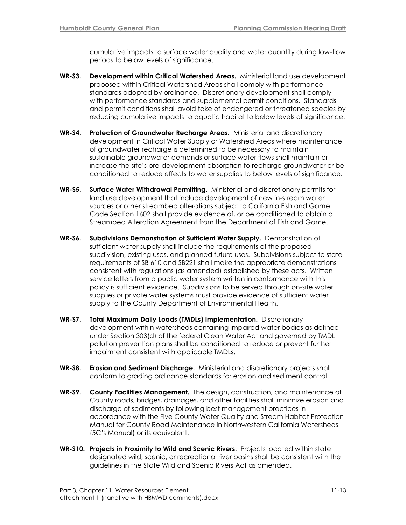cumulative impacts to surface water quality and water quantity during low-flow periods to below levels of significance.

- **WR-S3. Development within Critical Watershed Areas.** Ministerial land use development proposed within Critical Watershed Areas shall comply with performance standards adopted by ordinance. Discretionary development shall comply with performance standards and supplemental permit conditions. Standards and permit conditions shall avoid take of endangered or threatened species by reducing cumulative impacts to aquatic habitat to below levels of significance.
- **WR-S4. Protection of Groundwater Recharge Areas.** Ministerial and discretionary development in Critical Water Supply or Watershed Areas where maintenance of groundwater recharge is determined to be necessary to maintain sustainable groundwater demands or surface water flows shall maintain or increase the site's pre-development absorption to recharge groundwater or be conditioned to reduce effects to water supplies to below levels of significance.
- **WR-S5. Surface Water Withdrawal Permitting.** Ministerial and discretionary permits for land use development that include development of new in-stream water sources or other streambed alterations subject to California Fish and Game Code Section 1602 shall provide evidence of, or be conditioned to obtain a Streambed Alteration Agreement from the Department of Fish and Game.
- **WR-S6. Subdivisions Demonstration of Sufficient Water Supply.** Demonstration of sufficient water supply shall include the requirements of the proposed subdivision, existing uses, and planned future uses. Subdivisions subject to state requirements of SB 610 and SB221 shall make the appropriate demonstrations consistent with regulations (as amended) established by these acts. Written service letters from a public water system written in conformance with this policy is sufficient evidence. Subdivisions to be served through on-site water supplies or private water systems must provide evidence of sufficient water supply to the County Department of Environmental Health.
- **WR-S7. Total Maximum Daily Loads (TMDLs) Implementation.** Discretionary development within watersheds containing impaired water bodies as defined under Section 303(d) of the federal Clean Water Act and governed by TMDL pollution prevention plans shall be conditioned to reduce or prevent further impairment consistent with applicable TMDLs.
- **WR-S8. Erosion and Sediment Discharge.** Ministerial and discretionary projects shall conform to grading ordinance standards for erosion and sediment control.
- **WR-S9. County Facilities Management.** The design, construction, and maintenance of County roads, bridges, drainages, and other facilities shall minimize erosion and discharge of sediments by following best management practices in accordance with the Five County Water Quality and Stream Habitat Protection Manual for County Road Maintenance in Northwestern California Watersheds (5C's Manual) or its equivalent.
- **WR-S10. Projects in Proximity to Wild and Scenic Rivers**. Projects located within state designated wild, scenic, or recreational river basins shall be consistent with the guidelines in the State Wild and Scenic Rivers Act as amended.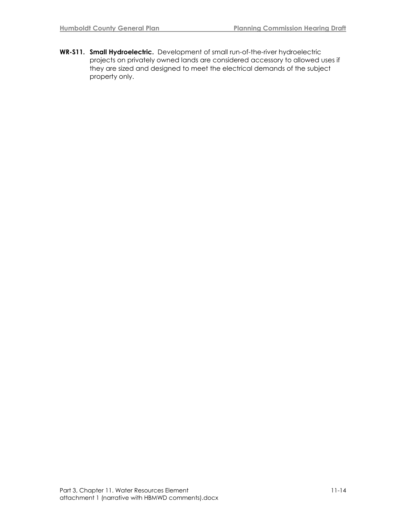**WR-S11. Small Hydroelectric.** Development of small run-of-the-river hydroelectric projects on privately owned lands are considered accessory to allowed uses if they are sized and designed to meet the electrical demands of the subject property only.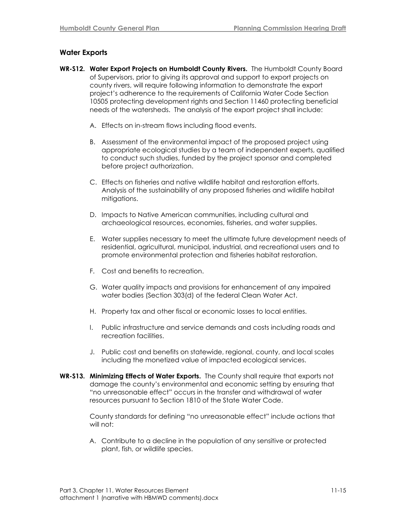#### **Water Exports**

- **WR-S12. Water Export Projects on Humboldt County Rivers.** The Humboldt County Board of Supervisors, prior to giving its approval and support to export projects on county rivers, will require following information to demonstrate the export project's adherence to the requirements of California Water Code Section 10505 protecting development rights and Section 11460 protecting beneficial needs of the watersheds. The analysis of the export project shall include:
	- A. Effects on in-stream flows including flood events.
	- B. Assessment of the environmental impact of the proposed project using appropriate ecological studies by a team of independent experts, qualified to conduct such studies, funded by the project sponsor and completed before project authorization.
	- C. Effects on fisheries and native wildlife habitat and restoration efforts. Analysis of the sustainability of any proposed fisheries and wildlife habitat mitigations.
	- D. Impacts to Native American communities, including cultural and archaeological resources, economies, fisheries, and water supplies.
	- E. Water supplies necessary to meet the ultimate future development needs of residential, agricultural, municipal, industrial, and recreational users and to promote environmental protection and fisheries habitat restoration.
	- F. Cost and benefits to recreation.
	- G. Water quality impacts and provisions for enhancement of any impaired water bodies (Section 303(d) of the federal Clean Water Act.
	- H. Property tax and other fiscal or economic losses to local entities.
	- I. Public infrastructure and service demands and costs including roads and recreation facilities.
	- J. Public cost and benefits on statewide, regional, county, and local scales including the monetized value of impacted ecological services.
- **WR-S13. Minimizing Effects of Water Exports.** The County shall require that exports not damage the county's environmental and economic setting by ensuring that ―no unreasonable effect‖ occurs in the transfer and withdrawal of water resources pursuant to Section 1810 of the State Water Code.

County standards for defining "no unreasonable effect" include actions that will not:

A. Contribute to a decline in the population of any sensitive or protected plant, fish, or wildlife species.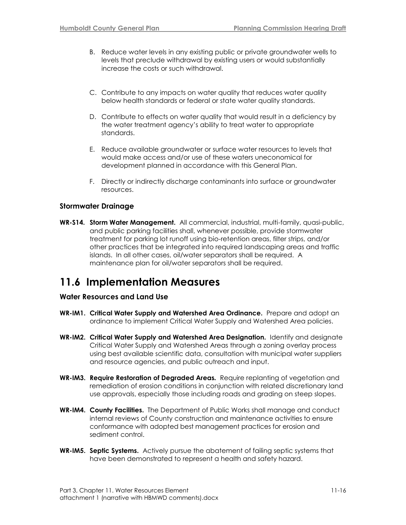- B. Reduce water levels in any existing public or private groundwater wells to levels that preclude withdrawal by existing users or would substantially increase the costs or such withdrawal.
- C. Contribute to any impacts on water quality that reduces water quality below health standards or federal or state water quality standards.
- D. Contribute to effects on water quality that would result in a deficiency by the water treatment agency's ability to treat water to appropriate standards.
- E. Reduce available groundwater or surface water resources to levels that would make access and/or use of these waters uneconomical for development planned in accordance with this General Plan.
- F. Directly or indirectly discharge contaminants into surface or groundwater resources.

#### **Stormwater Drainage**

**WR-S14. Storm Water Management.** All commercial, industrial, multi-family, quasi-public, and public parking facilities shall, whenever possible, provide stormwater treatment for parking lot runoff using bio-retention areas, filter strips, and/or other practices that be integrated into required landscaping areas and traffic islands. In all other cases, oil/water separators shall be required. A maintenance plan for oil/water separators shall be required.

# **11.6 Implementation Measures**

#### **Water Resources and Land Use**

- **WR-IM1. Critical Water Supply and Watershed Area Ordinance.** Prepare and adopt an ordinance to implement Critical Water Supply and Watershed Area policies.
- **WR-IM2. Critical Water Supply and Watershed Area Designation.** Identify and designate Critical Water Supply and Watershed Areas through a zoning overlay process using best available scientific data, consultation with municipal water suppliers and resource agencies, and public outreach and input.
- **WR-IM3. Require Restoration of Degraded Areas***.* Require replanting of vegetation and remediation of erosion conditions in conjunction with related discretionary land use approvals, especially those including roads and grading on steep slopes.
- **WR-IM4. County Facilities.** The Department of Public Works shall manage and conduct internal reviews of County construction and maintenance activities to ensure conformance with adopted best management practices for erosion and sediment control.
- **WR-IM5. Septic Systems.** Actively pursue the abatement of failing septic systems that have been demonstrated to represent a health and safety hazard.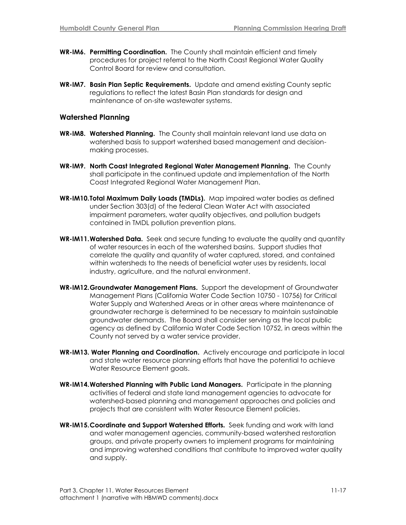- **WR-IM6. Permitting Coordination.** The County shall maintain efficient and timely procedures for project referral to the North Coast Regional Water Quality Control Board for review and consultation.
- **WR-IM7. Basin Plan Septic Requirements.** Update and amend existing County septic regulations to reflect the latest Basin Plan standards for design and maintenance of on-site wastewater systems.

#### **Watershed Planning**

- **WR-IM8. Watershed Planning.** The County shall maintain relevant land use data on watershed basis to support watershed based management and decisionmaking processes.
- **WR-IM9. North Coast Integrated Regional Water Management Planning.** The County shall participate in the continued update and implementation of the North Coast Integrated Regional Water Management Plan.
- **WR-IM10.Total Maximum Daily Loads (TMDLs).** Map impaired water bodies as defined under Section 303(d) of the federal Clean Water Act with associated impairment parameters, water quality objectives, and pollution budgets contained in TMDL pollution prevention plans.
- **WR-IM11.Watershed Data.** Seek and secure funding to evaluate the quality and quantity of water resources in each of the watershed basins. Support studies that correlate the quality and quantity of water captured, stored, and contained within watersheds to the needs of beneficial water uses by residents, local industry, agriculture, and the natural environment.
- **WR-IM12.Groundwater Management Plans.** Support the development of Groundwater Management Plans (California Water Code Section 10750 - 10756) for Critical Water Supply and Watershed Areas or in other areas where maintenance of groundwater recharge is determined to be necessary to maintain sustainable groundwater demands. The Board shall consider serving as the local public agency as defined by California Water Code Section 10752, in areas within the County not served by a water service provider.
- **WR-IM13. Water Planning and Coordination.** Actively encourage and participate in local and state water resource planning efforts that have the potential to achieve Water Resource Element goals.
- **WR-IM14.Watershed Planning with Public Land Managers.** Participate in the planning activities of federal and state land management agencies to advocate for watershed-based planning and management approaches and policies and projects that are consistent with Water Resource Element policies.
- **WR-IM15.Coordinate and Support Watershed Efforts***.* Seek funding and work with land and water management agencies, community-based watershed restoration groups, and private property owners to implement programs for maintaining and improving watershed conditions that contribute to improved water quality and supply.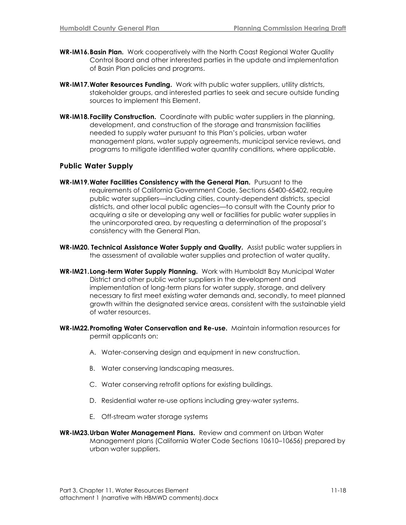- **WR-IM16.Basin Plan.** Work cooperatively with the North Coast Regional Water Quality Control Board and other interested parties in the update and implementation of Basin Plan policies and programs.
- **WR-IM17.Water Resources Funding.** Work with public water suppliers, utility districts, stakeholder groups, and interested parties to seek and secure outside funding sources to implement this Element.
- **WR-IM18.Facility Construction.** Coordinate with public water suppliers in the planning, development, and construction of the storage and transmission facilities needed to supply water pursuant to this Plan's policies, urban water management plans, water supply agreements, municipal service reviews, and programs to mitigate identified water quantity conditions, where applicable.

#### **Public Water Supply**

- **WR-IM19.Water Facilities Consistency with the General Plan.** Pursuant to the requirements of California Government Code, Sections 65400-65402, require public water suppliers—including cities, county-dependent districts, special districts, and other local public agencies—to consult with the County prior to acquiring a site or developing any well or facilities for public water supplies in the unincorporated area, by requesting a determination of the proposal's consistency with the General Plan.
- **WR-IM20. Technical Assistance Water Supply and Quality.** Assist public water suppliers in the assessment of available water supplies and protection of water quality.
- **WR-IM21.Long-term Water Supply Planning.** Work with Humboldt Bay Municipal Water District and other public water suppliers in the development and implementation of long-term plans for water supply, storage, and delivery necessary to first meet existing water demands and, secondly, to meet planned growth within the designated service areas, consistent with the sustainable yield of water resources.
- **WR-IM22.Promoting Water Conservation and Re-use.** Maintain information resources for permit applicants on:
	- A. Water-conserving design and equipment in new construction.
	- B. Water conserving landscaping measures.
	- C. Water conserving retrofit options for existing buildings.
	- D. Residential water re-use options including grey-water systems.
	- E. Off-stream water storage systems
- **WR-IM23.Urban Water Management Plans.** Review and comment on Urban Water Management plans (California Water Code Sections 10610–10656) prepared by urban water suppliers.